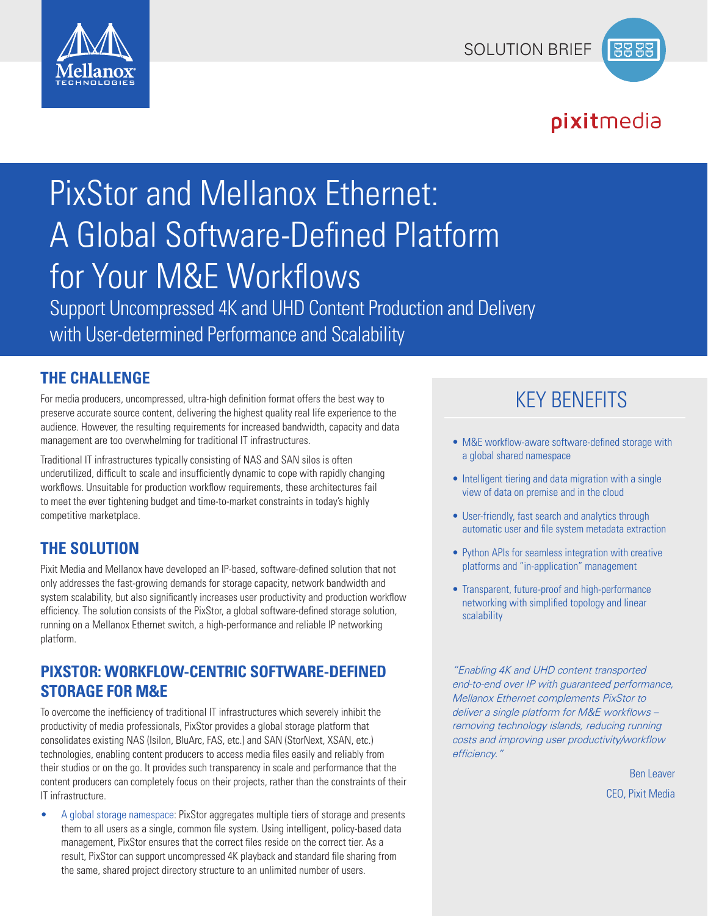



# pixitmedia

# PixStor and Mellanox Ethernet: A Global Software-Defined Platform for Your M&E Workflows

Support Uncompressed 4K and UHD Content Production and Delivery with User-determined Performance and Scalability

#### **THE CHALLENGE**

For media producers, uncompressed, ultra-high definition format offers the best way to preserve accurate source content, delivering the highest quality real life experience to the audience. However, the resulting requirements for increased bandwidth, capacity and data management are too overwhelming for traditional IT infrastructures.

Traditional IT infrastructures typically consisting of NAS and SAN silos is often underutilized, difficult to scale and insufficiently dynamic to cope with rapidly changing workflows. Unsuitable for production workflow requirements, these architectures fail to meet the ever tightening budget and time-to-market constraints in today's highly competitive marketplace.

## **THE SOLUTION**

Pixit Media and Mellanox have developed an IP-based, software-defined solution that not only addresses the fast-growing demands for storage capacity, network bandwidth and system scalability, but also significantly increases user productivity and production workflow efficiency. The solution consists of the PixStor, a global software-defined storage solution, running on a Mellanox Ethernet switch, a high-performance and reliable IP networking platform.

## **PIXSTOR: WORKFLOW-CENTRIC SOFTWARE-DEFINED STORAGE FOR M&E**

To overcome the inefficiency of traditional IT infrastructures which severely inhibit the productivity of media professionals, PixStor provides a global storage platform that consolidates existing NAS (Isilon, BluArc, FAS, etc.) and SAN (StorNext, XSAN, etc.) technologies, enabling content producers to access media files easily and reliably from their studios or on the go. It provides such transparency in scale and performance that the content producers can completely focus on their projects, rather than the constraints of their IT infrastructure.

• A global storage namespace: PixStor aggregates multiple tiers of storage and presents them to all users as a single, common file system. Using intelligent, policy-based data management, PixStor ensures that the correct files reside on the correct tier. As a result, PixStor can support uncompressed 4K playback and standard file sharing from the same, shared project directory structure to an unlimited number of users.

# KEY BENEFITS

- M&E workflow-aware software-defined storage with a global shared namespace
- Intelligent tiering and data migration with a single view of data on premise and in the cloud
- User-friendly, fast search and analytics through automatic user and file system metadata extraction
- Python APIs for seamless integration with creative platforms and "in-application" management
- Transparent, future-proof and high-performance networking with simplified topology and linear scalability

*"Enabling 4K and UHD content transported end-to-end over IP with guaranteed performance, Mellanox Ethernet complements PixStor to deliver a single platform for M&E workflows – removing technology islands, reducing running costs and improving user productivity/workflow efficiency."*

> Ben Leaver CEO, Pixit Media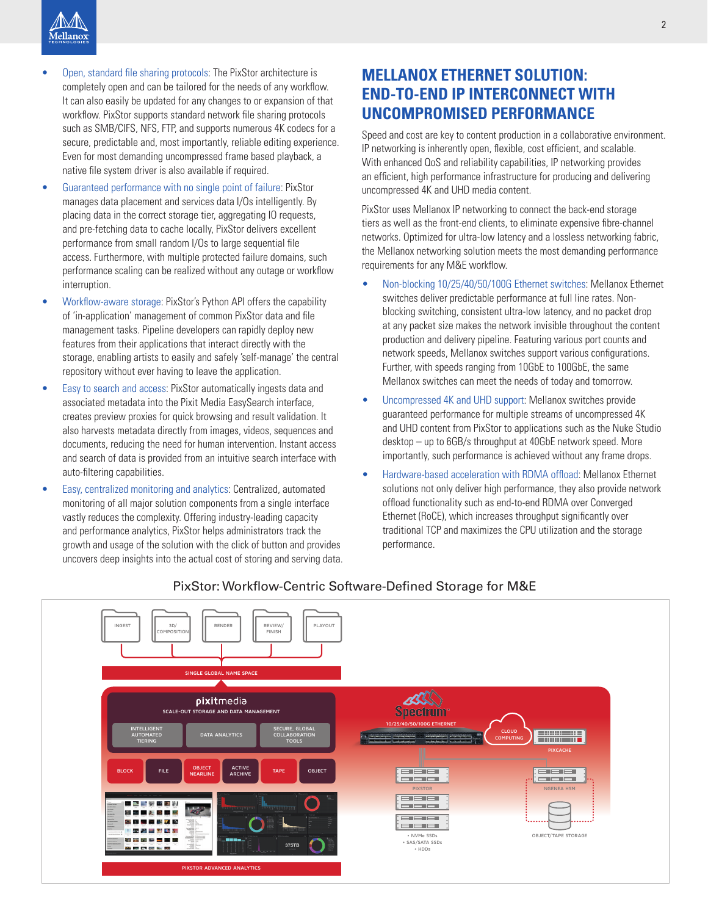- Open, standard file sharing protocols: The PixStor architecture is completely open and can be tailored for the needs of any workflow. It can also easily be updated for any changes to or expansion of that workflow. PixStor supports standard network file sharing protocols such as SMB/CIFS, NFS, FTP, and supports numerous 4K codecs for a secure, predictable and, most importantly, reliable editing experience. Even for most demanding uncompressed frame based playback, a native file system driver is also available if required.
- Guaranteed performance with no single point of failure: PixStor manages data placement and services data I/Os intelligently. By placing data in the correct storage tier, aggregating IO requests, and pre-fetching data to cache locally, PixStor delivers excellent performance from small random I/Os to large sequential file access. Furthermore, with multiple protected failure domains, such performance scaling can be realized without any outage or workflow interruption.
- Workflow-aware storage: PixStor's Python API offers the capability of 'in-application' management of common PixStor data and file management tasks. Pipeline developers can rapidly deploy new features from their applications that interact directly with the storage, enabling artists to easily and safely 'self-manage' the central repository without ever having to leave the application.
- Easy to search and access: PixStor automatically ingests data and associated metadata into the Pixit Media EasySearch interface, creates preview proxies for quick browsing and result validation. It also harvests metadata directly from images, videos, sequences and documents, reducing the need for human intervention. Instant access and search of data is provided from an intuitive search interface with auto-filtering capabilities.
- Easy, centralized monitoring and analytics: Centralized, automated monitoring of all major solution components from a single interface vastly reduces the complexity. Offering industry-leading capacity and performance analytics, PixStor helps administrators track the growth and usage of the solution with the click of button and provides uncovers deep insights into the actual cost of storing and serving data.

## **MELLANOX ETHERNET SOLUTION: END-TO-END IP INTERCONNECT WITH UNCOMPROMISED PERFORMANCE**

Speed and cost are key to content production in a collaborative environment. IP networking is inherently open, flexible, cost efficient, and scalable. With enhanced QoS and reliability capabilities, IP networking provides an efficient, high performance infrastructure for producing and delivering uncompressed 4K and UHD media content.

PixStor uses Mellanox IP networking to connect the back-end storage tiers as well as the front-end clients, to eliminate expensive fibre-channel networks. Optimized for ultra-low latency and a lossless networking fabric, the Mellanox networking solution meets the most demanding performance requirements for any M&E workflow.

- Non-blocking 10/25/40/50/100G Ethernet switches: Mellanox Ethernet switches deliver predictable performance at full line rates. Nonblocking switching, consistent ultra-low latency, and no packet drop at any packet size makes the network invisible throughout the content production and delivery pipeline. Featuring various port counts and network speeds, Mellanox switches support various configurations. Further, with speeds ranging from 10GbE to 100GbE, the same Mellanox switches can meet the needs of today and tomorrow.
- Uncompressed 4K and UHD support: Mellanox switches provide guaranteed performance for multiple streams of uncompressed 4K and UHD content from PixStor to applications such as the Nuke Studio desktop – up to 6GB/s throughput at 40GbE network speed. More importantly, such performance is achieved without any frame drops.
- Hardware-based acceleration with RDMA offload: Mellanox Ethernet solutions not only deliver high performance, they also provide network offload functionality such as end-to-end RDMA over Converged Ethernet (RoCE), which increases throughput significantly over traditional TCP and maximizes the CPU utilization and the storage performance.



#### PixStor: Workflow-Centric Software-Defined Storage for M&E